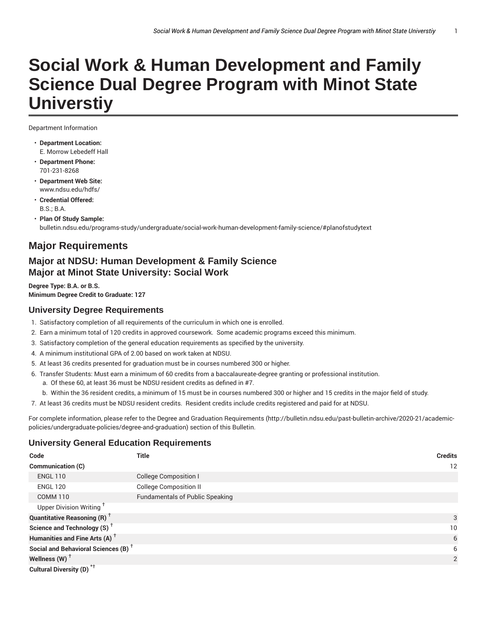# **Social Work & Human Development and Family Science Dual Degree Program with Minot State Universtiy**

Department Information

- **Department Location:** E. Morrow Lebedeff Hall
- **Department Phone:** 701-231-8268
- **Department Web Site:** www.ndsu.edu/hdfs/
- **Credential Offered:**  $R.S.$  $R.A.$
- **Plan Of Study Sample:** bulletin.ndsu.edu/programs-study/undergraduate/social-work-human-development-family-science/#planofstudytext

## **Major Requirements**

## **Major at NDSU: Human Development & Family Science Major at Minot State University: Social Work**

**Degree Type: B.A. or B.S. Minimum Degree Credit to Graduate: 127**

## **University Degree Requirements**

- 1. Satisfactory completion of all requirements of the curriculum in which one is enrolled.
- 2. Earn a minimum total of 120 credits in approved coursework. Some academic programs exceed this minimum.
- 3. Satisfactory completion of the general education requirements as specified by the university.
- 4. A minimum institutional GPA of 2.00 based on work taken at NDSU.
- 5. At least 36 credits presented for graduation must be in courses numbered 300 or higher.
- 6. Transfer Students: Must earn a minimum of 60 credits from a baccalaureate-degree granting or professional institution.
	- a. Of these 60, at least 36 must be NDSU resident credits as defined in #7.
- b. Within the 36 resident credits, a minimum of 15 must be in courses numbered 300 or higher and 15 credits in the major field of study.
- 7. At least 36 credits must be NDSU resident credits. Resident credits include credits registered and paid for at NDSU.

For complete information, please refer to the Degree and Graduation Requirements (http://bulletin.ndsu.edu/past-bulletin-archive/2020-21/academicpolicies/undergraduate-policies/degree-and-graduation) section of this Bulletin.

## **University General Education Requirements**

| Code                                            | <b>Title</b>                           | <b>Credits</b> |
|-------------------------------------------------|----------------------------------------|----------------|
| Communication (C)                               |                                        | 12             |
| <b>ENGL 110</b>                                 | <b>College Composition I</b>           |                |
| <b>ENGL 120</b>                                 | <b>College Composition II</b>          |                |
| <b>COMM 110</b>                                 | <b>Fundamentals of Public Speaking</b> |                |
| Upper Division Writing <sup>t</sup>             |                                        |                |
| <b>Quantitative Reasoning (R)</b> <sup>†</sup>  |                                        | 3              |
| Science and Technology (S) <sup>+</sup>         |                                        | 10             |
| Humanities and Fine Arts (A) <sup>+</sup>       |                                        | 6              |
| Social and Behavioral Sciences (B) <sup>+</sup> |                                        | 6              |
| Wellness (W) $^{\dagger}$                       |                                        | 2              |
| Cultural Diversity (D) <sup>*†</sup>            |                                        |                |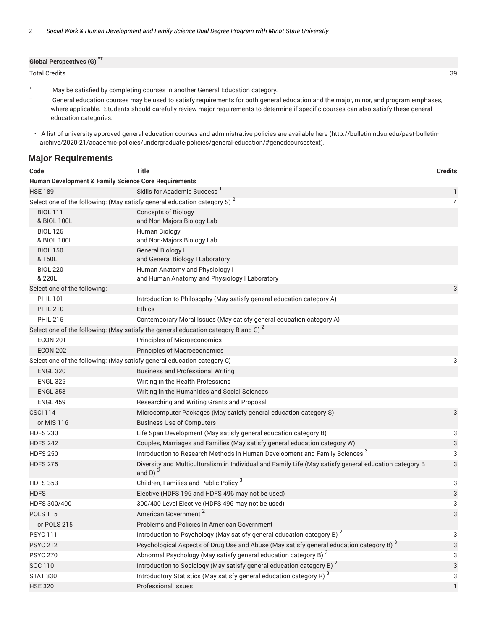| <b>Global Perspectives (G)</b> |          |
|--------------------------------|----------|
| Total Credits                  | ററ<br>ັບ |

\* May be satisfied by completing courses in another General Education category.

† General education courses may be used to satisfy requirements for both general education and the major, minor, and program emphases, where applicable. Students should carefully review major requirements to determine if specific courses can also satisfy these general education categories.

#### **Major Requirements**

| <b>Credits</b>                                                                                              |  |  |  |  |
|-------------------------------------------------------------------------------------------------------------|--|--|--|--|
| <b>Human Development &amp; Family Science Core Requirements</b>                                             |  |  |  |  |
| 1                                                                                                           |  |  |  |  |
| 4                                                                                                           |  |  |  |  |
|                                                                                                             |  |  |  |  |
|                                                                                                             |  |  |  |  |
|                                                                                                             |  |  |  |  |
|                                                                                                             |  |  |  |  |
| 3                                                                                                           |  |  |  |  |
|                                                                                                             |  |  |  |  |
|                                                                                                             |  |  |  |  |
|                                                                                                             |  |  |  |  |
|                                                                                                             |  |  |  |  |
|                                                                                                             |  |  |  |  |
|                                                                                                             |  |  |  |  |
| 3                                                                                                           |  |  |  |  |
|                                                                                                             |  |  |  |  |
|                                                                                                             |  |  |  |  |
|                                                                                                             |  |  |  |  |
|                                                                                                             |  |  |  |  |
| 3                                                                                                           |  |  |  |  |
|                                                                                                             |  |  |  |  |
| 3                                                                                                           |  |  |  |  |
| 3                                                                                                           |  |  |  |  |
| 3                                                                                                           |  |  |  |  |
| Diversity and Multiculturalism in Individual and Family Life (May satisfy general education category B<br>3 |  |  |  |  |
| 3                                                                                                           |  |  |  |  |
| 3                                                                                                           |  |  |  |  |
| 3                                                                                                           |  |  |  |  |
| 3                                                                                                           |  |  |  |  |
|                                                                                                             |  |  |  |  |
| 3                                                                                                           |  |  |  |  |
| 3                                                                                                           |  |  |  |  |
| 3                                                                                                           |  |  |  |  |
| 3                                                                                                           |  |  |  |  |
| 3                                                                                                           |  |  |  |  |
| 1                                                                                                           |  |  |  |  |
|                                                                                                             |  |  |  |  |

<sup>•</sup> A list of university approved general education courses and administrative policies are available here (http://bulletin.ndsu.edu/past-bulletinarchive/2020-21/academic-policies/undergraduate-policies/general-education/#genedcoursestext).